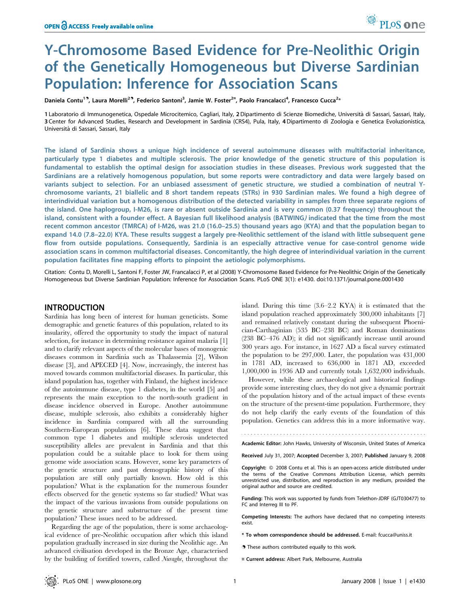# Y-Chromosome Based Evidence for Pre-Neolithic Origin of the Genetically Homogeneous but Diverse Sardinian Population: Inference for Association Scans

Daniela Contu<sup>19</sup>, Laura Morelli<sup>29</sup>, Federico Santoni<sup>3</sup>, Jamie W. Foster<sup>2¤</sup>, Paolo Francalacci<sup>4</sup>, Francesco Cucca<sup>2</sup>\*

1 Laboratorio di Immunogenetica, Ospedale Microcitemico, Cagliari, Italy, 2Dipartimento di Scienze Biomediche, Universita` di Sassari, Sassari, Italy, 3 Center for Advanced Studies, Research and Development in Sardinia (CRS4), Pula, Italy, 4Dipartimento di Zoologia e Genetica Evoluzionistica, Universita` di Sassari, Sassari, Italy

The island of Sardinia shows a unique high incidence of several autoimmune diseases with multifactorial inheritance, particularly type 1 diabetes and multiple sclerosis. The prior knowledge of the genetic structure of this population is fundamental to establish the optimal design for association studies in these diseases. Previous work suggested that the Sardinians are a relatively homogenous population, but some reports were contradictory and data were largely based on variants subject to selection. For an unbiased assessment of genetic structure, we studied a combination of neutral Ychromosome variants, 21 biallelic and 8 short tandem repeats (STRs) in 930 Sardinian males. We found a high degree of interindividual variation but a homogenous distribution of the detected variability in samples from three separate regions of the island. One haplogroup, I-M26, is rare or absent outside Sardinia and is very common (0.37 frequency) throughout the island, consistent with a founder effect. A Bayesian full likelihood analysis (BATWING) indicated that the time from the most recent common ancestor (TMRCA) of I-M26, was 21.0 (16.0–25.5) thousand years ago (KYA) and that the population began to expand 14.0 (7.8–22.0) KYA. These results suggest a largely pre-Neolithic settlement of the island with little subsequent gene flow from outside populations. Consequently, Sardinia is an especially attractive venue for case-control genome wide association scans in common multifactorial diseases. Concomitantly, the high degree of interindividual variation in the current population facilitates fine mapping efforts to pinpoint the aetiologic polymorphisms.

Citation: Contu D, Morelli L, Santoni F, Foster JW, Francalacci P, et al (2008) Y-Chromosome Based Evidence for Pre-Neolithic Origin of the Genetically Homogeneous but Diverse Sardinian Population: Inference for Association Scans. PLoS ONE 3(1): e1430. doi:10.1371/journal.pone.0001430

## INTRODUCTION

Sardinia has long been of interest for human geneticists. Some demographic and genetic features of this population, related to its insularity, offered the opportunity to study the impact of natural selection, for instance in determining resistance against malaria [1] and to clarify relevant aspects of the molecular bases of monogenic diseases common in Sardinia such as Thalassemia [2], Wilson disease [3], and APECED [4]. Now, increasingly, the interest has moved towards common multifactorial diseases. In particular, this island population has, together with Finland, the highest incidence of the autoimmune disease, type 1 diabetes, in the world [5] and represents the main exception to the north-south gradient in disease incidence observed in Europe. Another autoimmune disease, multiple sclerosis, also exhibits a considerably higher incidence in Sardinia compared with all the surrounding Southern-European populations [6]. These data suggest that common type 1 diabetes and multiple sclerosis undetected susceptibility alleles are prevalent in Sardinia and that this population could be a suitable place to look for them using genome wide association scans. However, some key parameters of the genetic structure and past demographic history of this population are still only partially known. How old is this population? What is the explanation for the numerous founder effects observed for the genetic systems so far studied? What was the impact of the various invasions from outside populations on the genetic structure and substructure of the present time population? These issues need to be addressed.

Regarding the age of the population, there is some archaeological evidence of pre-Neolithic occupation after which this island population gradually increased in size during the Neolithic age. An advanced civilisation developed in the Bronze Age, characterised by the building of fortified towers, called Nuraghe, throughout the island. During this time (3.6–2.2 KYA) it is estimated that the island population reached approximately 300,000 inhabitants [7] and remained relatively constant during the subsequent Phoenician-Carthaginian (535 BC–238 BC) and Roman dominations (238 BC–476 AD); it did not significantly increase until around 300 years ago. For instance, in 1627 AD a fiscal survey estimated the population to be 297,000. Later, the population was 431,000 in 1781 AD, increased to 636,000 in 1871 AD, exceeded 1,000,000 in 1936 AD and currently totals 1,632,000 individuals.

However, while these archaeological and historical findings provide some interesting clues, they do not give a dynamic portrait of the population history and of the actual impact of these events on the structure of the present-time population. Furthermore, they do not help clarify the early events of the foundation of this population. Genetics can address this in a more informative way.

Academic Editor: John Hawks, University of Wisconsin, United States of America

Received July 31, 2007; Accepted December 3, 2007; Published January 9, 2008

Copyright: © 2008 Contu et al. This is an open-access article distributed under the terms of the Creative Commons Attribution License, which permits unrestricted use, distribution, and reproduction in any medium, provided the original author and source are credited.

Funding: This work was supported by funds from Telethon-JDRF (GJT030477) to FC and Interreg III to PF.

Competing Interests: The authors have declared that no competing interests exist.

\* To whom correspondence should be addressed. E-mail: fcucca@uniss.it

. These authors contributed equally to this work.

¤ Current address: Albert Park, Melbourne, Australia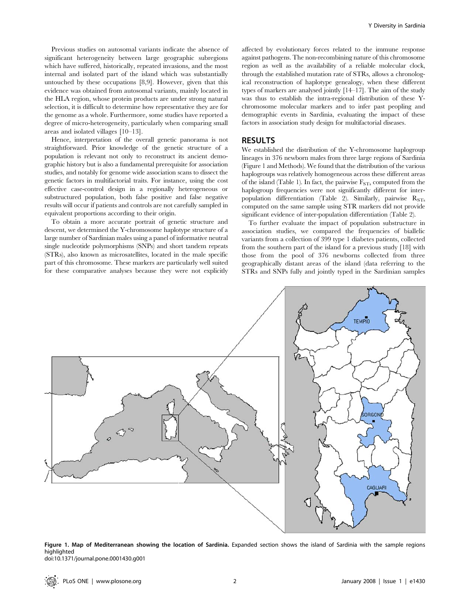Previous studies on autosomal variants indicate the absence of significant heterogeneity between large geographic subregions which have suffered, historically, repeated invasions, and the most internal and isolated part of the island which was substantially untouched by these occupations [8,9]. However, given that this evidence was obtained from autosomal variants, mainly located in the HLA region, whose protein products are under strong natural selection, it is difficult to determine how representative they are for the genome as a whole. Furthermore, some studies have reported a degree of micro-heterogeneity, particularly when comparing small areas and isolated villages [10–13].

Hence, interpretation of the overall genetic panorama is not straightforward. Prior knowledge of the genetic structure of a population is relevant not only to reconstruct its ancient demographic history but is also a fundamental prerequisite for association studies, and notably for genome wide association scans to dissect the genetic factors in multifactorial traits. For instance, using the cost effective case-control design in a regionally heterogeneous or substructured population, both false positive and false negative results will occur if patients and controls are not carefully sampled in equivalent proportions according to their origin.

To obtain a more accurate portrait of genetic structure and descent, we determined the Y-chromosome haplotype structure of a large number of Sardinian males using a panel of informative neutral single nucleotide polymorphisms (SNPs) and short tandem repeats (STRs), also known as microsatellites, located in the male specific part of this chromosome. These markers are particularly well suited for these comparative analyses because they were not explicitly

affected by evolutionary forces related to the immune response against pathogens. The non-recombining nature of this chromosome region as well as the availability of a reliable molecular clock, through the established mutation rate of STRs, allows a chronological reconstruction of haplotype genealogy, when these different types of markers are analysed jointly [14–17]. The aim of the study was thus to establish the intra-regional distribution of these Ychromosome molecular markers and to infer past peopling and demographic events in Sardinia, evaluating the impact of these factors in association study design for multifactorial diseases.

#### RESULTS

We established the distribution of the Y-chromosome haplogroup lineages in 376 newborn males from three large regions of Sardinia (Figure 1 and Methods). We found that the distribution of the various haplogroups was relatively homogeneous across these different areas of the island (Table 1). In fact, the pairwise  $F_{STs}$  computed from the haplogroup frequencies were not significantly different for interpopulation differentiation (Table 2). Similarly, pairwise  $R_{STs}$ computed on the same sample using STR markers did not provide significant evidence of inter-population differentiation (Table 2).

To further evaluate the impact of population substructure in association studies, we compared the frequencies of biallelic variants from a collection of 399 type 1 diabetes patients, collected from the southern part of the island for a previous study [18] with those from the pool of 376 newborns collected from three geographically distant areas of the island (data referring to the STRs and SNPs fully and jointly typed in the Sardinian samples



Figure 1. Map of Mediterranean showing the location of Sardinia. Expanded section shows the island of Sardinia with the sample regions highlighted doi:10.1371/journal.pone.0001430.g001

PLoS ONE | www.plosone.org 2 2 January 2008 | Issue 1 | e1430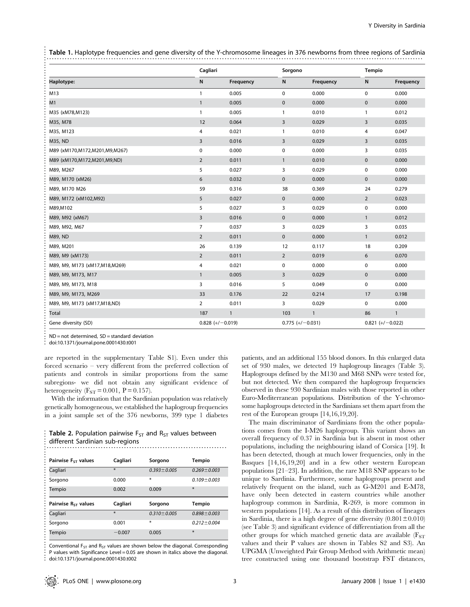Table 1. Haplotype frequencies and gene diversity of the Y-chromosome lineages in 376 newborns from three regions of Sardinia

|                                   | Cagliari           |              | Sorgono            |              | Tempio             |              |
|-----------------------------------|--------------------|--------------|--------------------|--------------|--------------------|--------------|
| Haplotype:                        | N                  | Frequency    | N                  | Frequency    | N                  | Frequency    |
| M13                               | $\mathbf{1}$       | 0.005        | $\mathbf 0$        | 0.000        | 0                  | 0.000        |
| M1                                | $\mathbf{1}$       | 0.005        | $\pmb{0}$          | 0.000        | 0                  | 0.000        |
| M35 (xM78, M123)                  | $\mathbf{1}$       | 0.005        | $\mathbf{1}$       | 0.010        | $\mathbf{1}$       | 0.012        |
| M35, M78                          | 12                 | 0.064        | $\overline{3}$     | 0.029        | 3                  | 0.035        |
| M35, M123                         | 4                  | 0.021        | $\mathbf{1}$       | 0.010        | 4                  | 0.047        |
| M35, ND                           | 3                  | 0.016        | 3                  | 0.029        | 3                  | 0.035        |
| M89 (xM170, M172, M201, M9, M267) | $\pmb{0}$          | 0.000        | 0                  | 0.000        | 3                  | 0.035        |
| M89 (xM170,M172,M201,M9,ND)       | $\overline{2}$     | 0.011        | $\mathbf{1}$       | 0.010        | $\mathbf 0$        | 0.000        |
| M89, M267                         | 5                  | 0.027        | 3                  | 0.029        | 0                  | 0.000        |
| M89, M170 (xM26)                  | 6                  | 0.032        | $\mathbf 0$        | 0.000        | $\mathbf 0$        | 0.000        |
| M89, M170 M26                     | 59                 | 0.316        | 38                 | 0.369        | 24                 | 0.279        |
| M89, M172 (xM102,M92)             | 5                  | 0.027        | $\mathbf 0$        | 0.000        | $\overline{2}$     | 0.023        |
| M89.M102                          | 5                  | 0.027        | 3                  | 0.029        | 0                  | 0.000        |
| M89, M92 (xM67)                   | 3                  | 0.016        | $\mathbf 0$        | 0.000        | $\mathbf{1}$       | 0.012        |
| M89, M92, M67                     | 7                  | 0.037        | 3                  | 0.029        | 3                  | 0.035        |
| M89, ND                           | $\overline{2}$     | 0.011        | $\mathbf 0$        | 0.000        | $\mathbf{1}$       | 0.012        |
| M89, M201                         | 26                 | 0.139        | 12                 | 0.117        | 18                 | 0.209        |
| M89, M9 (xM173)                   | $\overline{2}$     | 0.011        | $\overline{2}$     | 0.019        | 6                  | 0.070        |
| M89, M9, M173 (xM17, M18, M269)   | 4                  | 0.021        | $\mathbf 0$        | 0.000        | 0                  | 0.000        |
| M89, M9, M173, M17                | $\mathbf{1}$       | 0.005        | $\overline{3}$     | 0.029        | $\pmb{0}$          | 0.000        |
| M89, M9, M173, M18                | 3                  | 0.016        | 5                  | 0.049        | 0                  | 0.000        |
| M89, M9, M173, M269               | 33                 | 0.176        | 22                 | 0.214        | 17                 | 0.198        |
| M89, M9, M173 (xM17, M18, ND)     | $\overline{2}$     | 0.011        | 3                  | 0.029        | 0                  | 0.000        |
| Total                             | 187                | $\mathbf{1}$ | 103                | $\mathbf{1}$ | 86                 | $\mathbf{1}$ |
| Gene diversity (SD)               | $0.828 (+/-0.019)$ |              | $0.775 (+/-0.031)$ |              | $0.821 (+/-0.022)$ |              |

ND = not determined, SD = standard deviation

.................................................................................................................... doi:10.1371/journal.pone.0001430.t001

are reported in the supplementary Table S1). Even under this forced scenario – very different from the preferred collection of patients and controls in similar proportions from the same subregions- we did not obtain any significant evidence of heterogeneity  $(F_{ST} = 0.001, P = 0.157)$ .

With the information that the Sardinian population was relatively genetically homogeneous, we established the haplogroup frequencies in a joint sample set of the 376 newborns, 399 type 1 diabetes

| <b>Table 2.</b> Population pairwise $F_{ST}$ and $R_{ST}$ values between |
|--------------------------------------------------------------------------|
| different Sardinian sub-regions                                          |
|                                                                          |

| Pairwise $F_{ST}$ values        | Cagliari | Sorgono           | <b>Tempio</b>     |
|---------------------------------|----------|-------------------|-------------------|
| Cagliari                        | ¥.       | $0.393 \pm 0.005$ | $0.269 \pm 0.003$ |
| Sorgono                         | 0.000    | *                 | $0.109 \pm 0.003$ |
| Tempio                          | 0.002    | 0.009             | $\ast$            |
|                                 |          |                   |                   |
| Pairwise R <sub>ST</sub> values | Cagliari | Sorgono           | <b>Tempio</b>     |
| Cagliari                        | ¥        | $0.310 \pm 0.005$ | $0.898 \pm 0.003$ |
| Sorgono                         | 0.001    | *                 | $0.212 \pm 0.004$ |

Conventional  $F_{ST}$  and  $R_{ST}$  values are shown below the diagonal. Corresponding P values with Significance Level = 0.05 are shown in italics above the diagonal. doi:10.1371/journal.pone.0001430.t002

patients, and an additional 155 blood donors. In this enlarged data set of 930 males, we detected 19 haplogroup lineages (Table 3). Haplogroups defined by the M130 and M68 SNPs were tested for, but not detected. We then compared the haplogroup frequencies observed in these 930 Sardinian males with those reported in other Euro-Mediterranean populations. Distribution of the Y-chromosome haplogroups detected in the Sardinians set them apart from the rest of the European groups [14,16,19,20].

The main discriminator of Sardinians from the other populations comes from the I-M26 haplogroup. This variant shows an overall frequency of 0.37 in Sardinia but is absent in most other populations, including the neighbouring island of Corsica [19]. It has been detected, though at much lower frequencies, only in the Basques [14,16,19,20] and in a few other western European populations [21–23]. In addition, the rare M18 SNP appears to be unique to Sardinia. Furthermore, some haplogroups present and relatively frequent on the island, such as G-M201 and E-M78, have only been detected in eastern countries while another haplogroup common in Sardinia, R-269, is more common in western populations [14]. As a result of this distribution of lineages in Sardinia, there is a high degree of gene diversity  $(0.801 \pm 0.010)$ (see Table 3) and significant evidence of differentiation from all the other groups for which matched genetic data are available  $(F_{ST})$ values and their P values are shown in Tables S2 and S3). An UPGMA (Unweighted Pair Group Method with Arithmetic mean) tree constructed using one thousand bootstrap FST distances,

...................................................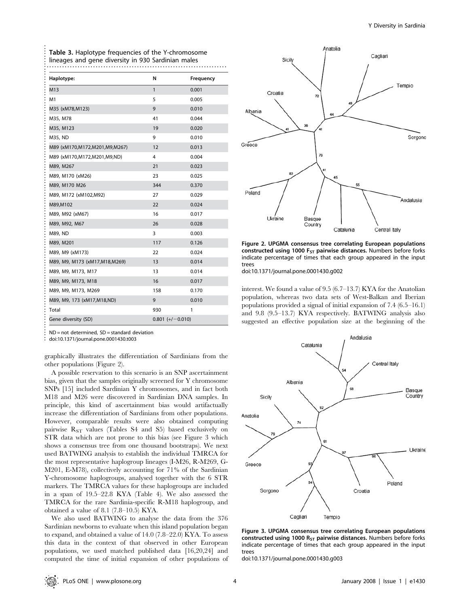| Haplotype:                      | N                  | Frequency |
|---------------------------------|--------------------|-----------|
| M13                             | $\mathbf{1}$       | 0.001     |
| M1                              | 5                  | 0.005     |
| M35 (xM78, M123)                | 9                  | 0.010     |
| M35, M78                        | 41                 | 0.044     |
| M35, M123                       | 19                 | 0.020     |
| M35, ND                         | 9                  | 0.010     |
| M89 (xM170,M172,M201,M9,M267)   | 12                 | 0.013     |
| M89 (xM170,M172,M201,M9,ND)     | 4                  | 0.004     |
| M89, M267                       | 21                 | 0.023     |
| M89, M170 (xM26)                | 23                 | 0.025     |
| M89, M170 M26                   | 344                | 0.370     |
| M89, M172 (xM102,M92)           | 27                 | 0.029     |
| M89,M102                        | 22                 | 0.024     |
| M89, M92 (xM67)                 | 16                 | 0.017     |
| M89, M92, M67                   | 26                 | 0.028     |
| M89, ND                         | 3                  | 0.003     |
| M89, M201                       | 117                | 0.126     |
| M89, M9 (xM173)                 | 22                 | 0.024     |
| M89, M9, M173 (xM17, M18, M269) | 13                 | 0.014     |
| M89, M9, M173, M17              | 13                 | 0.014     |
| M89, M9, M173, M18              | 16                 | 0.017     |
| M89, M9, M173, M269             | 158                | 0.170     |
| M89, M9, 173 (xM17,M18,ND)      | 9                  | 0.010     |
| Total                           | 930                | 1         |
| Gene diversity (SD)             | $0.801 (+/-0.010)$ |           |

Table 3. Haplotype frequencies of the Y-chromosome

 $ND = not determined$ ,  $SD = standard deviation$ 

................................................................................................................... doi:10.1371/journal.pone.0001430.t003

graphically illustrates the differentiation of Sardinians from the other populations (Figure 2).

A possible reservation to this scenario is an SNP ascertainment bias, given that the samples originally screened for Y chromosome SNPs [15] included Sardinian Y chromosomes, and in fact both M18 and M26 were discovered in Sardinian DNA samples. In principle, this kind of ascertainment bias would artifactually increase the differentiation of Sardinians from other populations. However, comparable results were also obtained computing pairwise  $R_{ST}$  values (Tables S4 and S5) based exclusively on STR data which are not prone to this bias (see Figure 3 which shows a consensus tree from one thousand bootstraps). We next used BATWING analysis to establish the individual TMRCA for the most representative haplogroup lineages (I-M26, R-M269, G-M201, E-M78), collectively accounting for 71% of the Sardinian Y-chromosome haplogroups, analysed together with the 6 STR markers. The TMRCA values for these haplogroups are included in a span of 19.5–22.8 KYA (Table 4). We also assessed the TMRCA for the rare Sardinia-specific R-M18 haplogroup, and obtained a value of 8.1 (7.8–10.5) KYA.

We also used BATWING to analyse the data from the 376 Sardinian newborns to evaluate when this island population began to expand, and obtained a value of 14.0 (7.8–22.0) KYA. To assess this data in the context of that observed in other European populations, we used matched published data [16,20,24] and computed the time of initial expansion of other populations of



Figure 2. UPGMA consensus tree correlating European populations constructed using 1000  $F_{ST}$  pairwise distances. Numbers before forks indicate percentage of times that each group appeared in the input trees

doi:10.1371/journal.pone.0001430.g002

interest. We found a value of 9.5 (6.7–13.7) KYA for the Anatolian population, whereas two data sets of West-Balkan and Iberian populations provided a signal of initial expansion of 7.4 (6.5–16.1) and 9.8 (9.5–13.7) KYA respectively. BATWING analysis also suggested an effective population size at the beginning of the



Figure 3. UPGMA consensus tree correlating European populations constructed using 1000  $R_{ST}$  pairwise distances. Numbers before forks indicate percentage of times that each group appeared in the input trees

doi:10.1371/journal.pone.0001430.g003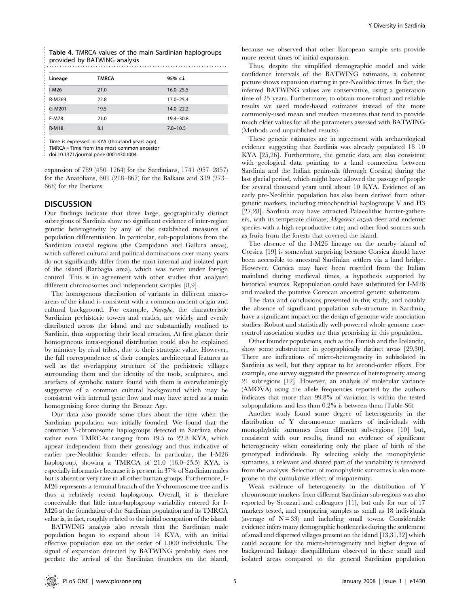| Table 4. TMRCA values of the main Sardinian haplogroups |
|---------------------------------------------------------|
| provided by BATWING analysis                            |
|                                                         |

| Lineage      | <b>TMRCA</b> | 95% c.i.      |
|--------------|--------------|---------------|
| $I-M26$      | 21.0         | $16.0 - 25.5$ |
| R-M269       | 22.8         | $17.0 - 25.4$ |
| G-M201       | 19.5         | $14.0 - 22.2$ |
| E-M78        | 21.0         | 19.4-30.8     |
| <b>R-M18</b> | 8.1          | $7.8 - 10.5$  |

doi:10.1371/journal.pone.0001430.t004

expansion of 789 (450–1264) for the Sardinians, 1741 (957–2857) for the Anatolians, 601 (218–867) for the Balkans and 339 (273– 668) for the Iberians.

## **DISCUSSION**

Our findings indicate that three large, geographically distinct subregions of Sardinia show no significant evidence of inter-region genetic heterogeneity by any of the established measures of population differentiation. In particular, sub-populations from the Sardinian coastal regions (the Campidano and Gallura areas), which suffered cultural and political dominations over many years do not significantly differ from the most internal and isolated part of the island (Barbagia area), which was never under foreign control. This is in agreement with other studies that analysed different chromosomes and independent samples [8,9].

The homogenous distribution of variants in different macroareas of the island is consistent with a common ancient origin and cultural background. For example, Nuraghe, the characteristic Sardinian prehistoric towers and castles, are widely and evenly distributed across the island and are substantially confined to Sardinia, thus supporting their local creation. At first glance their homogeneous intra-regional distribution could also be explained by mimicry by rival tribes, due to their strategic value. However, the full correspondence of their complex architectural features as well as the overlapping structure of the prehistoric villages surrounding them and the identity of the tools, sculptures, and artefacts of symbolic nature found with them is overwhelmingly suggestive of a common cultural background which may be consistent with internal gene flow and may have acted as a main homogenising force during the Bronze Age.

Our data also provide some clues about the time when the Sardinian population was initially founded. We found that the common Y-chromosome haplogroups detected in Sardinia show rather even TMRCAs ranging from 19.5 to 22.8 KYA, which appear independent from their genealogy and thus indicative of earlier pre-Neolithic founder effects. In particular, the I-M26 haplogroup, showing a TMRCA of 21.0 (16.0–25.5) KYA, is especially informative because it is present in 37% of Sardinian males but is absent or very rare in all other human groups. Furthermore, I-M26 represents a terminal branch of the Y-chromosome tree and is thus a relatively recent haplogroup. Overall, it is therefore conceivable that little intra-haplogroup variability entered for I-M26 at the foundation of the Sardinian population and its TMRCA value is, in fact, roughly related to the initial occupation of the island.

BATWING analysis also reveals that the Sardinian male population began to expand about 14 KYA, with an initial effective population size on the order of 1,000 individuals. The signal of expansion detected by BATWING probably does not predate the arrival of the Sardinian founders on the island,

because we observed that other European sample sets provide more recent times of initial expansion.

Thus, despite the simplified demographic model and wide confidence intervals of the BATWING estimates, a coherent picture shows expansion starting in pre-Neolithic times. In fact, the inferred BATWING values are conservative, using a generation time of 25 years. Furthermore, to obtain more robust and reliable results we used mode-based estimates instead of the more commonly-used mean and median measures that tend to provide much older values for all the parameters assessed with BATWING (Methods and unpublished results).

These genetic estimates are in agreement with archaeological evidence suggesting that Sardinia was already populated 18–10 KYA [25,26]. Furthermore, the genetic data are also consistent with geological data pointing to a land connection between Sardinia and the Italian peninsula (through Corsica) during the last glacial period, which might have allowed the passage of people for several thousand years until about 10 KYA. Evidence of an early pre-Neolithic population has also been derived from other genetic markers, including mitochondrial haplogroups V and H3 [27,28]. Sardinia may have attracted Palaeolithic hunter-gatherers, with its temperate climate; Megaceros cazioti deer and endemic species with a high reproductive rate; and other food sources such as fruits from the forests that covered the island.

The absence of the I-M26 lineage on the nearby island of Corsica [19] is somewhat surprising because Corsica should have been accessible to ancestral Sardinian settlers via a land bridge. However, Corsica may have been resettled from the Italian mainland during medieval times, a hypothesis supported by historical sources. Repopulation could have substituted for I-M26 and masked the putative Corsican ancestral genetic substratum.

The data and conclusions presented in this study, and notably the absence of significant population sub-structure in Sardinia, have a significant impact on the design of genome wide association studies. Robust and statistically well-powered whole genome casecontrol association studies are thus promising in this population.

Other founder populations, such as the Finnish and the Icelandic, show some substructure in geographically distinct areas [29,30]. There are indications of micro-heterogeneity in subisolated in Sardinia as well, but they appear to be second-order effects. For example, one survey suggested the presence of heterogeneity among 21 subregions [12]. However, an analysis of molecular variance (AMOVA) using the allele frequencies reported by the authors indicates that more than 99.8% of variation is within the tested subpopulations and less than 0.2% is between them (Table S6).

Another study found some degree of heterogeneity in the distribution of Y chromosome markers of individuals with monophyletic surnames from different sub-regions [10] but, consistent with our results, found no evidence of significant heterogeneity when considering only the place of birth of the genotyped individuals. By selecting solely the monophyletic surnames, a relevant and shared part of the variability is removed from the analysis. Selection of monophyletic surnames is also more prone to the cumulative effect of mispaternity.

Weak evidence of heterogeneity in the distribution of Y chromosome markers from different Sardinian sub-regions was also reported by Scozzari and colleagues [11], but only for one of 17 markers tested, and comparing samples as small as 18 individuals (average of  $N = 33$ ) and including small towns. Considerable evidence infers many demographic bottlenecks during the settlement of small and dispersed villages present on the island [13,31,32] which could account for the micro-heterogeneity and higher degree of background linkage disequilibrium observed in these small and isolated areas compared to the general Sardinian population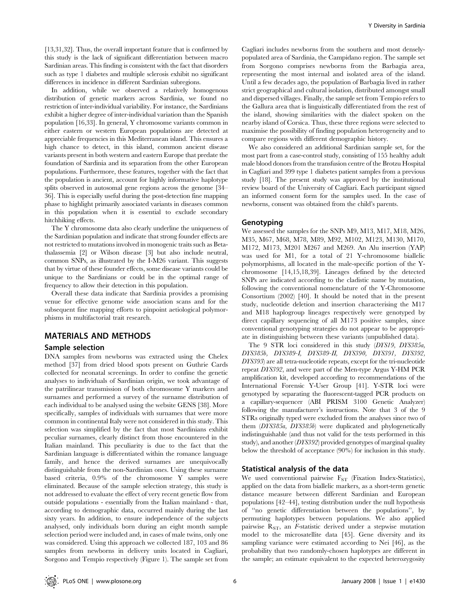[13,31,32]. Thus, the overall important feature that is confirmed by this study is the lack of significant differentiation between macro Sardinian areas. This finding is consistent with the fact that disorders such as type 1 diabetes and multiple sclerosis exhibit no significant differences in incidence in different Sardinian subregions.

In addition, while we observed a relatively homogenous distribution of genetic markers across Sardinia, we found no restriction of inter-individual variability. For instance, the Sardinians exhibit a higher degree of inter-individual variation than the Spanish population [16,33]. In general, Y chromosome variants common in either eastern or western European populations are detected at appreciable frequencies in this Mediterranean island. This ensures a high chance to detect, in this island, common ancient disease variants present in both western and eastern Europe that predate the foundation of Sardinia and its separation from the other European populations. Furthermore, these features, together with the fact that the population is ancient, account for highly informative haplotype splits observed in autosomal gene regions across the genome [34– 36]. This is especially useful during the post-detection fine mapping phase to highlight primarily associated variants in diseases common in this population when it is essential to exclude secondary hitchhiking effects.

The Y chromosome data also clearly underline the uniqueness of the Sardinian population and indicate that strong founder effects are not restricted to mutations involved in monogenic traits such as Betathalassemia [2] or Wilson disease [3] but also include neutral, common SNPs, as illustrated by the I-M26 variant. This suggests that by virtue of these founder effects, some disease variants could be unique to the Sardinians or could be in the optimal range of frequency to allow their detection in this population.

Overall these data indicate that Sardinia provides a promising venue for effective genome wide association scans and for the subsequent fine mapping efforts to pinpoint aetiological polymorphisms in multifactorial trait research.

# MATERIALS AND METHODS

#### Sample selection

DNA samples from newborns was extracted using the Chelex method [37] from dried blood spots present on Guthrie Cards collected for neonatal screenings. In order to confine the genetic analyses to individuals of Sardinian origin, we took advantage of the patrilinear transmission of both chromosome Y markers and surnames and performed a survey of the surname distribution of each individual to be analysed using the website GENS [38]. More specifically, samples of individuals with surnames that were more common in continental Italy were not considered in this study. This selection was simplified by the fact that most Sardinians exhibit peculiar surnames, clearly distinct from those encountered in the Italian mainland. This peculiarity is due to the fact that the Sardinian language is differentiated within the romance language family, and hence the derived surnames are unequivocally distinguishable from the non-Sardinian ones. Using these surname based criteria, 0.9% of the chromosome Y samples were eliminated. Because of the sample selection strategy, this study is not addressed to evaluate the effect of very recent genetic flow from outside populations - essentially from the Italian mainland - that, according to demographic data, occurred mainly during the last sixty years. In addition, to ensure independence of the subjects analysed, only individuals born during an eight month sample selection period were included and, in cases of male twins, only one was considered. Using this approach we collected 187, 103 and 86 samples from newborns in delivery units located in Cagliari, Sorgono and Tempio respectively (Figure 1). The sample set from Cagliari includes newborns from the southern and most denselypopulated area of Sardinia, the Campidano region. The sample set from Sorgono comprises newborns from the Barbagia area, representing the most internal and isolated area of the island. Until a few decades ago, the population of Barbagia lived in rather strict geographical and cultural isolation, distributed amongst small and dispersed villages. Finally, the sample set from Tempio refers to the Gallura area that is linguistically differentiated from the rest of the island, showing similarities with the dialect spoken on the nearby island of Corsica. Thus, these three regions were selected to maximise the possibility of finding population heterogeneity and to compare regions with different demographic history.

We also considered an additional Sardinian sample set, for the most part from a case-control study, consisting of 155 healthy adult male blood donors from the transfusion centre of the Brotzu Hospital in Cagliari and 399 type 1 diabetes patient samples from a previous study [18]. The present study was approved by the institutional review board of the University of Cagliari. Each participant signed an informed consent form for the samples used. In the case of newborns, consent was obtained from the child's parents.

#### Genotyping

We assessed the samples for the SNPs M9, M13, M17, M18, M26, M35, M67, M68, M78, M89, M92, M102, M123, M130, M170, M172, M173, M201 M267 and M269. An Alu insertion (YAP) was used for M1, for a total of 21 Y-chromosome biallelic polymorphisms, all located in the male-specific portion of the Ychromosome [14,15,18,39]. Lineages defined by the detected SNPs are indicated according to the cladistic name by mutation, following the conventional nomenclature of the Y-Chromosome Consortium (2002) [40]. It should be noted that in the present study, nucleotide deletion and insertion characterising the M17 and M18 haplogroup lineages respectively were genotyped by direct capillary sequencing of all M173 positive samples, since conventional genotyping strategies do not appear to be appropriate in distinguishing between these variants (unpublished data).

The 9 STR loci considered in this study (DYS19, DYS385a, DYS385b, DYS389-I, DYS389-II, DYS390, DYS391, DYS392, DYS393) are all tetra-nucleotide repeats, except for the tri-nucleotide repeat DYS392, and were part of the Men-type Argus Y-HM PCR amplification kit, developed according to recommendations of the International Forensic Y-User Group [41]. Y-STR loci were genotyped by separating the fluorescent-tagged PCR products on a capillary-sequencer (ABI PRISM 3100 Genetic Analyzer) following the manufacturer's instructions. Note that 3 of the 9 STRs originally typed were excluded from the analyses since two of them (DYS385a, DYS385b) were duplicated and phylogenetically indistinguishable (and thus not valid for the tests performed in this study), and another (DYS392) provided genotypes of marginal quality below the threshold of acceptance (90%) for inclusion in this study.

## Statistical analysis of the data

We used conventional pairwise  $F_{ST}$  (Fixation Index-Statistics), applied on the data from biallelic markers, as a short-term genetic distance measure between different Sardinian and European populations [42–44], testing distribution under the null hypothesis of ''no genetic differentiation between the populations'', by permuting haplotypes between populations. We also applied pairwise  $R_{ST}$ , an *F*-statistic derived under a stepwise mutation model to the microsatellite data [45]. Gene diversity and its sampling variance were estimated according to Nei [46], as the probability that two randomly-chosen haplotypes are different in the sample; an estimate equivalent to the expected heterozygosity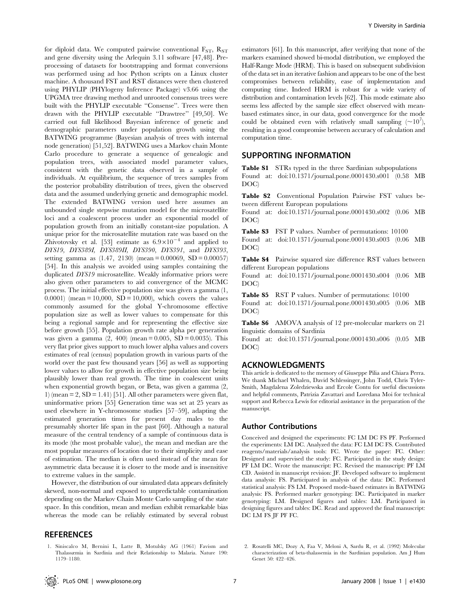for diploid data. We computed pairwise conventional  $F_{ST}$ ,  $R_{ST}$ and gene diversity using the Arlequin 3.11 software [47,48]. Preprocessing of datasets for bootstrapping and format conversions was performed using ad hoc Python scripts on a Linux cluster machine. A thousand FST and RST distances were then clustered using PHYLIP (PHYlogeny Inference Package) v3.66 using the UPGMA tree drawing method and unrooted consensus trees were built with the PHYLIP executable ''Consense''. Trees were then drawn with the PHYLIP executable ''Drawtree'' [49,50]. We carried out full likelihood Bayesian inference of genetic and demographic parameters under population growth using the BATWING programme (Bayesian analysis of trees with internal node generation) [51,52]. BATWING uses a Markov chain Monte Carlo procedure to generate a sequence of genealogic and population trees, with associated model parameter values, consistent with the genetic data observed in a sample of individuals. At equilibrium, the sequence of trees samples from the posterior probability distribution of trees, given the observed data and the assumed underlying genetic and demographic model. The extended BATWING version used here assumes an unbounded single stepwise mutation model for the microsatellite loci and a coalescent process under an exponential model of population growth from an initially constant-size population. A unique prior for the microsatellite mutation rate was based on the Zhivotovsky et al. [53] estimate as  $6.9 \times 10^{-4}$  and applied to DYS19, DYS389I, DYS389II, DYS390, DYS391, and DYS393, setting gamma as  $(1.47, 2130)$  (mean = 0.00069, SD = 0.00057) [54]. In this analysis we avoided using samples containing the duplicated DYS19 microsatellite. Weakly informative priors were also given other parameters to aid convergence of the MCMC process. The initial effective population size was given a gamma (1, 0.0001) (mean = 10,000, SD = 10,000), which covers the values commonly assumed for the global Y-chromosome effective population size as well as lower values to compensate for this being a regional sample and for representing the effective size before growth [55]. Population growth rate alpha per generation was given a gamma  $(2, 400)$  (mean = 0.005, SD = 0.0035). This very flat prior gives support to much lower alpha values and covers estimates of real (census) population growth in various parts of the world over the past few thousand years [56] as well as supporting lower values to allow for growth in effective population size being plausibly lower than real growth. The time in coalescent units when exponential growth began, or Beta, was given a gamma (2, 1) (mean  $= 2$ , SD  $= 1.41$ ) [51]. All other parameters were given flat, uninformative priors [55] Generation time was set at 25 years as used elsewhere in Y-chromosome studies [57–59], adapting the estimated generation times for present day males to the presumably shorter life span in the past [60]. Although a natural measure of the central tendency of a sample of continuous data is its mode (the most probable value), the mean and median are the most popular measures of location due to their simplicity and ease of estimation. The median is often used instead of the mean for asymmetric data because it is closer to the mode and is insensitive to extreme values in the sample.

However, the distribution of our simulated data appears definitely skewed, non-normal and exposed to unpredictable contamination depending on the Markov Chain Monte Carlo sampling of the state space. In this condition, mean and median exhibit remarkable bias whereas the mode can be reliably estimated by several robust

## **REFERENCES**

1. Siniscalco M, Bernini L, Latte B, Motulsky AG (1961) Favism and Thalassæmia in Sardinia and their Relationship to Malaria. Nature 190: 1179–1180.

estimators [61]. In this manuscript, after verifying that none of the markers examined showed bi-modal distribution, we employed the Half-Range Mode (HRM). This is based on subsequent subdivision of the data set in an iterative fashion and appears to be one of the best compromises between reliability, ease of implementation and computing time. Indeed HRM is robust for a wide variety of distribution and contamination levels [62]. This mode estimate also seems less affected by the sample size effect observed with meanbased estimates since, in our data, good convergence for the mode could be obtained even with relatively small sampling  $(\sim 10^7)$ , resulting in a good compromise between accuracy of calculation and computation time.

## SUPPORTING INFORMATION

Table S1 STRs typed in the three Sardinian subpopulations Found at: doi:10.1371/journal.pone.0001430.s001 (0.58 MB DOC)

Table S2 Conventional Population Pairwise FST values between different European populations

Found at: doi:10.1371/journal.pone.0001430.s002 (0.06 MB DOC)

Table S3 FST P values. Number of permutations: 10100

Found at: doi:10.1371/journal.pone.0001430.s003 (0.06 MB DOC)

Table S4 Pairwise squared size difference RST values between different European populations

Found at: doi:10.1371/journal.pone.0001430.s004 (0.06 MB DOC)

Table S5 RST P values. Number of permutations: 10100 Found at: doi:10.1371/journal.pone.0001430.s005 (0.06 MB DOC)

Table S6 AMOVA analysis of 12 pre-molecular markers on 21 linguistic domains of Sardinia

Found at: doi:10.1371/journal.pone.0001430.s006 (0.05 MB DOC)

#### ACKNOWLEDGMENTS

This article is dedicated to the memory of Giuseppe Pilia and Chiara Perra. We thank Michael Whalen, David Schlessinger, John Todd, Chris Tyler-Smith, Magdalena Zoledziewska and Ercole Contu for useful discussions and helpful comments, Patrizia Zavattari and Loredana Moi for technical support and Rebecca Lewis for editorial assistance in the preparation of the manuscript.

#### Author Contributions

Conceived and designed the experiments: FC LM DC FS PF. Performed the experiments: LM DC. Analyzed the data: FC LM DC FS. Contributed reagents/materials/analysis tools: FC. Wrote the paper: FC. Other: Designed and supervised the study: FC. Participated in the study design: PF LM DC. Wrote the manuscript: FC. Revised the manuscript: PF LM CD. Assisted in manuscript revision: JF. Developed software to implement data analysis: FS. Participated in analysis of the data: DC. Performed statistical analysis: FS LM. Proposed mode-based estimates in BATWING analysis: FS. Performed marker genotyping: DC. Participated in marker genotyping: LM. Designed figures and tables: LM. Participated in designing figures and tables: DC. Read and approved the final manuscript: DC LM FS JF PF FC.

2. Rosatelli MC, Dozy A, Faa V, Meloni A, Sardu R, et al. (1992) Molecular characterization of beta-thalassemia in the Sardinian population. Am J Hum Genet 50: 422–426.